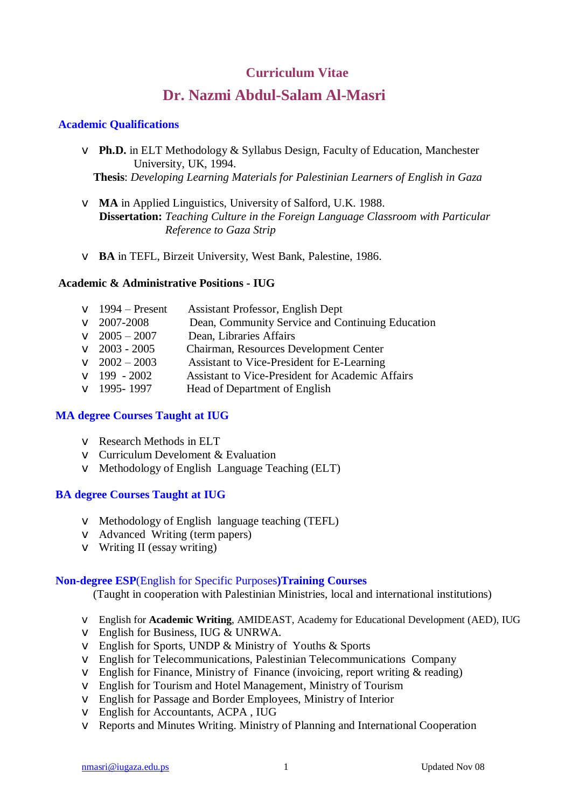## **Curriculum Vitae**

# **Dr. Nazmi Abdul-Salam Al-Masri**

#### **Academic Qualifications**

- v **Ph.D.** in ELT Methodology & Syllabus Design, Faculty of Education, Manchester University, UK, 1994.  **Thesis**: *Developing Learning Materials for Palestinian Learners of English in Gaza*
- v **MA** in Applied Linguistics, University of Salford, U.K. 1988.  **Dissertation:** *Teaching Culture in the Foreign Language Classroom with Particular Reference to Gaza Strip*
- v **BA** in TEFL, Birzeit University, West Bank, Palestine, 1986.

#### **Academic & Administrative Positions - IUG**

| $\vee$ 1994 – Present  | <b>Assistant Professor, English Dept</b>                |
|------------------------|---------------------------------------------------------|
| $\vee$ 2007-2008       | Dean, Community Service and Continuing Education        |
| $\sqrt{2005} - 2007$   | Dean, Libraries Affairs                                 |
| $\vee$ 2003 - 2005     | Chairman, Resources Development Center                  |
| $\sqrt{2002} - 2003$   | Assistant to Vice-President for E-Learning              |
| $\sqrt{199} - 2002$    | <b>Assistant to Vice-President for Academic Affairs</b> |
| $\textbf{V}$ 1995-1997 | Head of Department of English                           |
|                        |                                                         |

#### **MA degree Courses Taught at IUG**

- v Research Methods in ELT
- v Curriculum Develoment & Evaluation
- v Methodology of English Language Teaching (ELT)

#### **BA degree Courses Taught at IUG**

- v Methodology of English language teaching (TEFL)
- v Advanced Writing (term papers)
- $\vee$  Writing II (essay writing)

#### **Non-degree ESP**(English for Specific Purposes**)Training Courses**

(Taught in cooperation with Palestinian Ministries, local and international institutions)

- v English for **Academic Writing**, AMIDEAST, Academy for Educational Development (AED), IUG
- v English for Business, IUG & UNRWA.
- v English for Sports, UNDP & Ministry of Youths & Sports
- v English for Telecommunications, Palestinian Telecommunications Company
- $\vee$  English for Finance, Ministry of Finance (invoicing, report writing & reading)
- v English for Tourism and Hotel Management, Ministry of Tourism
- v English for Passage and Border Employees, Ministry of Interior
- v English for Accountants, ACPA , IUG
- v Reports and Minutes Writing. Ministry of Planning and International Cooperation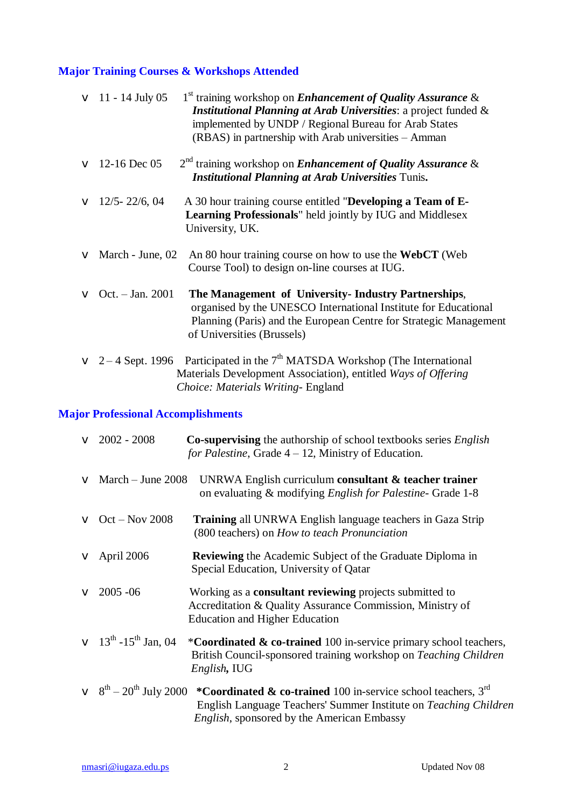## **Major Training Courses & Workshops Attended**

| $\sqrt{11 - 14}$ July 05    | 1 <sup>st</sup> training workshop on <i>Enhancement of Quality Assurance &amp;</i><br><b>Institutional Planning at Arab Universities: a project funded &amp;</b><br>implemented by UNDP / Regional Bureau for Arab States<br>(RBAS) in partnership with Arab universities – Amman |
|-----------------------------|-----------------------------------------------------------------------------------------------------------------------------------------------------------------------------------------------------------------------------------------------------------------------------------|
| $\vee$ 12-16 Dec 05         | $2nd$ training workshop on <i>Enhancement of Quality Assurance &amp;</i><br><b>Institutional Planning at Arab Universities Tunis.</b>                                                                                                                                             |
| $\vee$ 12/5-22/6, 04        | A 30 hour training course entitled "Developing a Team of E-<br>Learning Professionals" held jointly by IUG and Middlesex<br>University, UK.                                                                                                                                       |
| $\vee$ March - June, 02     | An 80 hour training course on how to use the <b>WebCT</b> (Web<br>Course Tool) to design on-line courses at IUG.                                                                                                                                                                  |
| <b>v</b> Oct. $-$ Jan. 2001 | The Management of University- Industry Partnerships,<br>organised by the UNESCO International Institute for Educational<br>Planning (Paris) and the European Centre for Strategic Management<br>of Universities (Brussels)                                                        |
|                             | $\vee$ 2 – 4 Sept. 1996 Participated in the 7 <sup>th</sup> MATSDA Workshop (The International<br>Materials Development Association), entitled Ways of Offering<br>Choice: Materials Writing- England                                                                             |

## **Major Professional Accomplishments**

|             | $\vee$ 2002 - 2008                                | <b>Co-supervising</b> the authorship of school textbooks series <i>English</i><br>for Palestine, Grade $4 - 12$ , Ministry of Education.                                                                                                                |
|-------------|---------------------------------------------------|---------------------------------------------------------------------------------------------------------------------------------------------------------------------------------------------------------------------------------------------------------|
|             | $\vee$ March – June 2008                          | UNRWA English curriculum consultant $\&$ teacher trainer<br>on evaluating & modifying <i>English for Palestine</i> - Grade 1-8                                                                                                                          |
|             | $\vee$ Oct – Nov 2008                             | <b>Training</b> all UNRWA English language teachers in Gaza Strip<br>(800 teachers) on How to teach Pronunciation                                                                                                                                       |
|             | $\vee$ April 2006                                 | <b>Reviewing</b> the Academic Subject of the Graduate Diploma in<br>Special Education, University of Qatar                                                                                                                                              |
| $\mathbf v$ | $2005 - 06$                                       | Working as a consultant reviewing projects submitted to<br>Accreditation & Quality Assurance Commission, Ministry of<br><b>Education and Higher Education</b>                                                                                           |
|             | $\vee$ 13 <sup>th</sup> -15 <sup>th</sup> Jan, 04 | *Coordinated & co-trained 100 in-service primary school teachers,<br>British Council-sponsored training workshop on Teaching Children<br>English, IUG                                                                                                   |
|             |                                                   | $\vee$ 8 <sup>th</sup> – 20 <sup>th</sup> July 2000 *Coordinated & co-trained 100 in-service school teachers, 3 <sup>rd</sup><br>English Language Teachers' Summer Institute on Teaching Children<br><i>English</i> , sponsored by the American Embassy |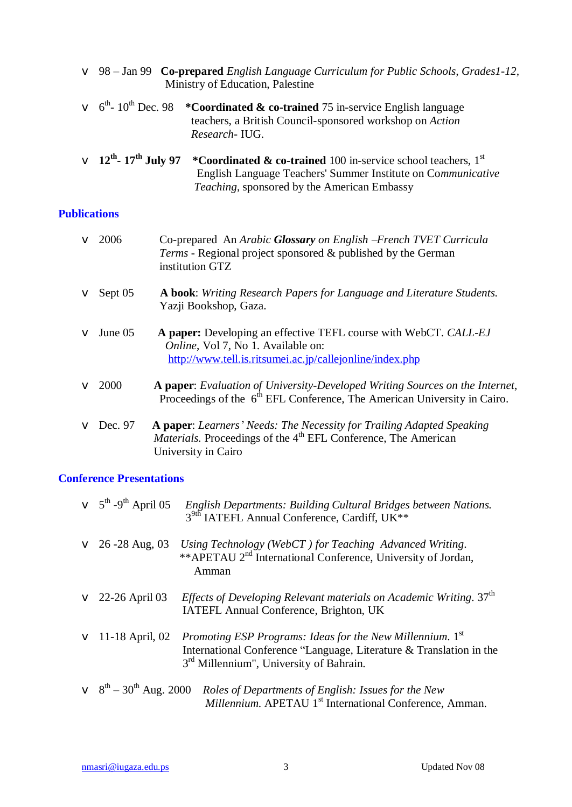|                                                    | V 98 - Jan 99 Co-prepared English Language Curriculum for Public Schools, Grades1-12,<br>Ministry of Education, Palestine                                                              |
|----------------------------------------------------|----------------------------------------------------------------------------------------------------------------------------------------------------------------------------------------|
|                                                    | $\vee$ 6 <sup>th</sup> -10 <sup>th</sup> Dec. 98 *Coordinated & co-trained 75 in-service English language<br>teachers, a British Council-sponsored workshop on Action<br>Research-IUG. |
| $\vee$ 12 <sup>th</sup> - 17 <sup>th</sup> July 97 | *Coordinated & co-trained 100 in-service school teachers, $1st$<br>English Language Teachers' Summer Institute on Communicative                                                        |

*Teaching*, sponsored by the American Embassy

#### **Publications**

| $\vee$ 2006    | Co-prepared An Arabic Glossary on English -French TVET Curricula<br>Terms - Regional project sponsored & published by the German<br>institution GTZ                        |
|----------------|----------------------------------------------------------------------------------------------------------------------------------------------------------------------------|
| $\vee$ Sept 05 | <b>A book:</b> Writing Research Papers for Language and Literature Students.<br>Yazji Bookshop, Gaza.                                                                      |
| $\vee$ June 05 | A paper: Developing an effective TEFL course with WebCT. CALL-EJ<br><i>Online</i> , Vol 7, No 1. Available on:<br>http://www.tell.is.ritsumei.ac.jp/callejonline/index.php |
| $\vee$ 2000    | A paper: Evaluation of University-Developed Writing Sources on the Internet,<br>Proceedings of the $6th EFL$ Conference, The American University in Cairo.                 |
| $V$ Dec. 97    | A paper: Learners' Needs: The Necessity for Trailing Adapted Speaking<br>Materials. Proceedings of the 4 <sup>th</sup> EFL Conference, The American<br>University in Cairo |

### **Conference Presentations**

| $\vee$ 5 <sup>th</sup> -9 <sup>th</sup> April 05 | English Departments: Building Cultural Bridges between Nations.<br>3 <sup>9th</sup> IATEFL Annual Conference, Cardiff, UK**                                                             |
|--------------------------------------------------|-----------------------------------------------------------------------------------------------------------------------------------------------------------------------------------------|
| $\vee$ 26 -28 Aug, 03                            | Using Technology (WebCT) for Teaching Advanced Writing.<br>**APETAU 2 <sup>nd</sup> International Conference, University of Jordan,<br>Amman                                            |
| $\vee$ 22-26 April 03                            | <i>Effects of Developing Relevant materials on Academic Writing.</i> $37th$<br>IATEFL Annual Conference, Brighton, UK                                                                   |
| $\vee$ 11-18 April, 02                           | Promoting ESP Programs: Ideas for the New Millennium. 1st<br>International Conference "Language, Literature & Translation in the<br>3 <sup>rd</sup> Millennium", University of Bahrain. |
|                                                  | $\vee$ 8 <sup>th</sup> – 30 <sup>th</sup> Aug. 2000 <i>Roles of Departments of English: Issues for the New</i><br>Millennium. APETAU 1 <sup>st</sup> International Conference, Amman.   |